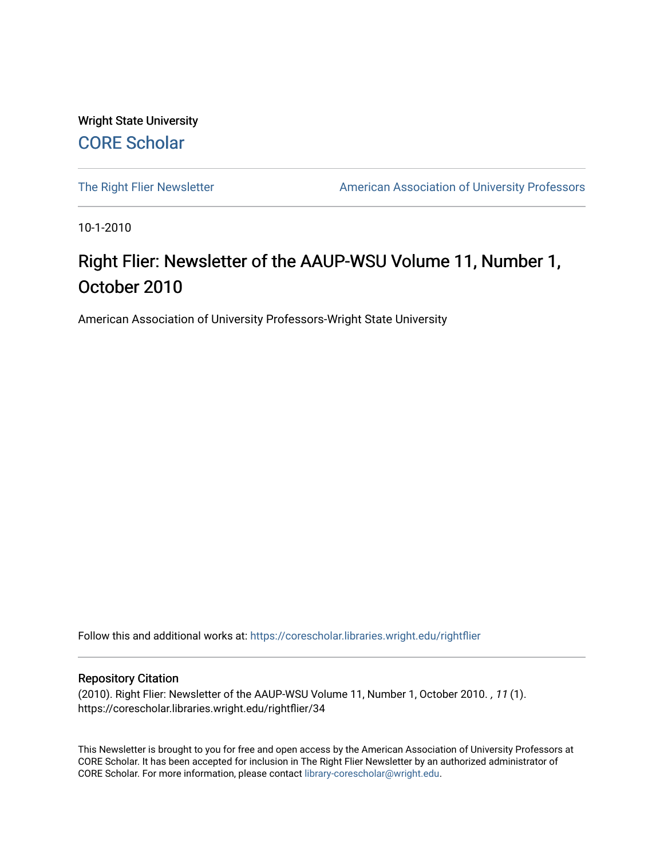Wright State University [CORE Scholar](https://corescholar.libraries.wright.edu/)

[The Right Flier Newsletter](https://corescholar.libraries.wright.edu/rightflier) **American Association of University Professors** 

10-1-2010

### Right Flier: Newsletter of the AAUP-WSU Volume 11, Number 1, October 2010

American Association of University Professors-Wright State University

Follow this and additional works at: [https://corescholar.libraries.wright.edu/rightflier](https://corescholar.libraries.wright.edu/rightflier?utm_source=corescholar.libraries.wright.edu%2Frightflier%2F34&utm_medium=PDF&utm_campaign=PDFCoverPages) 

#### Repository Citation

(2010). Right Flier: Newsletter of the AAUP-WSU Volume 11, Number 1, October 2010. , 11 (1). https://corescholar.libraries.wright.edu/rightflier/34

This Newsletter is brought to you for free and open access by the American Association of University Professors at CORE Scholar. It has been accepted for inclusion in The Right Flier Newsletter by an authorized administrator of CORE Scholar. For more information, please contact [library-corescholar@wright.edu](mailto:library-corescholar@wright.edu).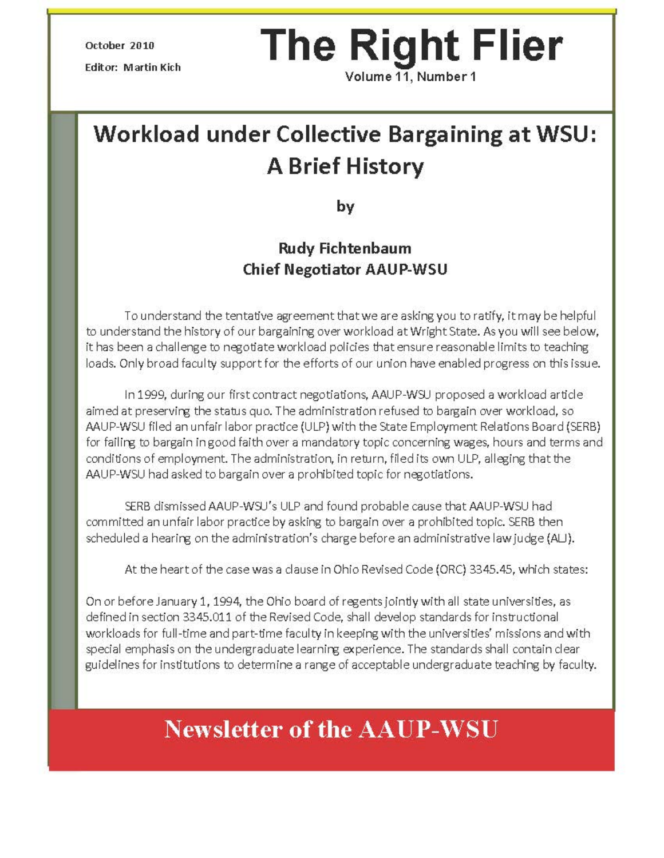Editor: Martin Kich

# October 2010 **The Right Flier**

Volume 11, Number 1

# **Workload under Collective Bargaining at WSU: A Brief History**

**by** 

### **Rudy Fichtenbaum Chief Negotiator AAUP-WSU**

To understand the tentative agreement that we are asking you to ratify, itmay be helpful to understand the history of our bargaining over workload at Wright State. As you will see below, it has been a challenge to negotiate workload policies that ensure reasonable limits to teaching loads. Only broad faculty support for the efforts of our union have enabled progress on this issue.

In 1999, during our first contract negotiations, AAUP-W9J proposed a workload article aimed at preservirg the status quo. The administration refused to bargain over workload, so AAUP-WSU filed an unfair labor practice (ULP) with the State Employment Relations Board (SERB) for failirg to bargain in good faith over a mandatory topic concerning wages, hours and terms and conditions of employment. The administration, in return, filed its own ULP, alleging that the AAUP-WSU had asked to bargain over a prohibited topic for negotiations.

9:RB dismissed AAUP-W9J's ULP and found probable cause that AAUP-WSU had committed an unfair labor practice by asking to bargain over a prohibited topic. SERB then scheduled a hearing on the administration's charge before an administrative law judge (AL).

At the heart of the case was a clause in Ohio Revised Code (ORC) 3345.45, which states:

On or before January 1, 1994, the Ohio board of regents jointly with all state universities, as defined in section 3345.011 of the Revised Code, shall develop standards for instructional workloads for full-time and part-time faculty in keeping with the universities' missions and with special emphasis on the undergraduate learnirg experience. The standards shall contain clear guidelines for institutions to determine a range of acceptable undergraduate teaching by faculty.

## **Newsletter of the AAUP-WSU**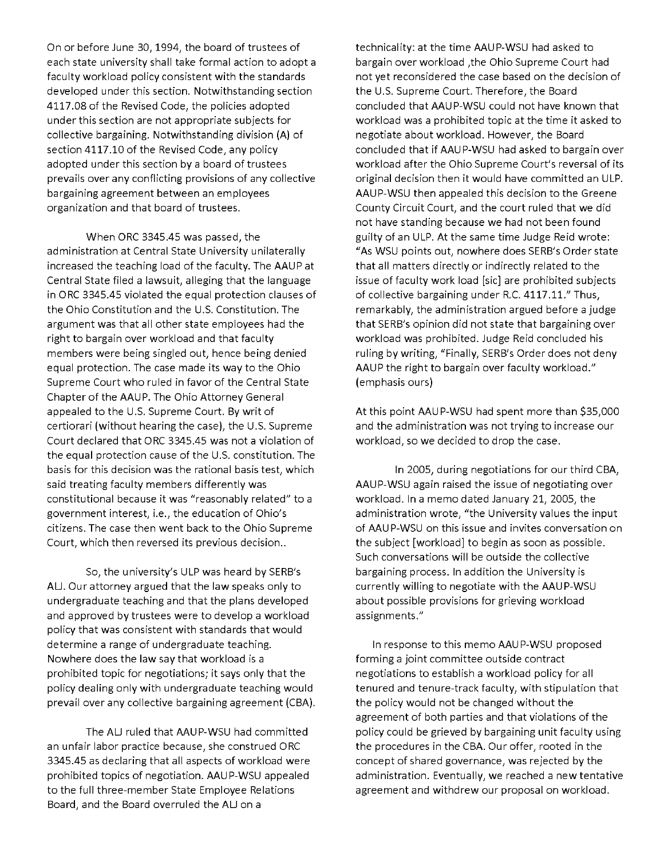On or before June 30, 1994, the board of trustees of each state university shall take formal action to adopt a faculty workload policy consistent with the standards developed under this section. Notwithstanding section 4117.08 of the Revised Code, the policies adopted under this section are not appropriate subjects for collective bargaining. Notwithstanding division (A) of section 4117.10 of the Revised Code, any policy adopted under this section by a board of trustees prevails over any conflicting provisions of any collective bargaining agreement between an employees organization and that board of trustees.

When ORC 3345.45 was passed, the administration at Central State University unilaterally increased the teaching load of the faculty. The AAUP at Central State filed a lawsuit, alleging that the language in ORC 3345.45 violated the equal protection clauses of the Ohio Constitution and the U.S. Constitution. The argument was that all other state employees had the right to bargain over workload and that faculty members were being singled out, hence being denied equal protection. The case made its way to the Ohio Supreme Court who ruled in favor of the Central State Chapter of the AAUP. The Ohio Attorney General appealed to the U.S. Supreme Court. By writ of certiorari (without hearing the case), the U.S. Supreme Court declared that ORC 3345.45 was not a violation of the equal protection cause of the U.S. constitution. The basis for this decision was the rational basis test, which said treating faculty members differently was constitutional because it was "reasonably related" to a government interest, i.e., the education of Ohio's <sub>.</sub> citizens. The case then went back to the Ohio Supreme Court, which then reversed its previous decision..

So, the university's ULP was heard by SERB's AU. Our attorney argued that the law speaks only to undergraduate teaching and that the plans developed and approved by trustees were to develop a workload policy that was consistent with standards that would determine a range of undergraduate teaching. Nowhere does the law say that workload is a prohibited topic for negotiations; it says only that the policy dealing only with undergraduate teaching would prevail over any collective bargaining agreement (CBA).

The ALJ ruled that AAUP-WSU had committed an unfair labor practice because, she construed ORC 3345.45 as declaring that all aspects of workload were prohibited topics of negotiation. AAUP-WSU appealed to the full three-member State Employee Relations Board, and the Board overruled the AU on a

technicality: at the time AAUP-WSU had asked to bargain over workload ,the Ohio Supreme Court had not yet reconsidered the case based on the decision of the U.S. Supreme Court. Therefore, the Board concluded that AAUP-WSU could not have known that workload was a prohibited topic at the time it asked to negotiate about workload. However, the Board concluded that if AAUP-WSU had asked to bargain over workload after the Ohio Supreme Court's reversal of its original decision then it would have committed an ULP. AAUP-WSU then appealed this decision to the Greene County Circuit Court, and the court ruled that we did not have standing because we had not been found guilty of an ULP. At the same time Judge Reid wrote: "As WSU points out, nowhere does SERB's Order state that all matters directly or indirectly related to the issue of faculty work load [sic] are prohibited subjects of collective bargaining under R.C. 4117.11." Thus, remarkably, the administration argued before a judge that SERB's opinion did not state that bargaining over workload was prohibited. Judge Reid concluded his ruling by writing, "Finally, SERB's Order does not deny AAUP the right to bargain over faculty workload." (emphasis ours)

At this point AAUP-WSU had spent more than \$35,000 and the administration was not trying to increase our workload, so we decided to drop the case.

In 2005, during negotiations for our third CBA, AAUP-WSU again raised the issue of negotiating over workload. In a memo dated January 21, 2005, the administration wrote, "the University values the input of AAUP-WSU on this issue and invites conversation on the subject [workload] to begin as soon as possible. Such conversations will be outside the collective bargaining process. In addition the University is currently willing to negotiate with the AAU P-WSU about possible provisions for grieving workload **assignments."** 

In response to this memo AAUP-WSU proposed forming a joint committee outside contract negotiations to establish a workload policy for all tenured and tenure-track faculty, with stipulation that the policy would not be changed without the agreement of both parties and that violations of the policy could be grieved by bargaining unit faculty using the procedures in the CBA. Our offer, rooted in the concept of shared governance, was rejected by the administration. Eventually, we reached a new tentative agreement and withdrew our proposal on workload.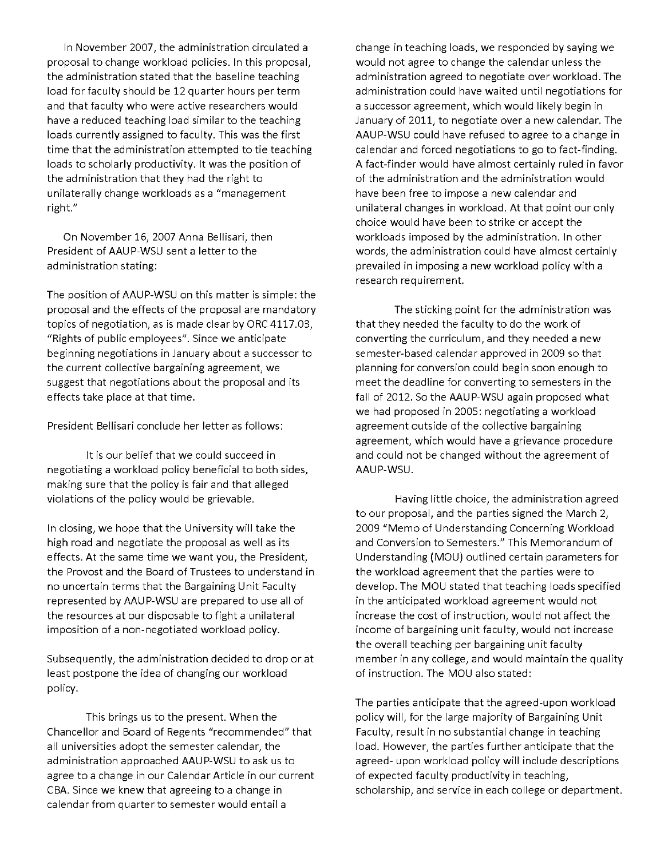In November 2007, the administration circulated a proposal to change workload policies. In this proposal, the administration stated that the baseline teaching load for faculty should be 12 quarter hours per term and that faculty who were active researchers would have a reduced teaching load similar to the teaching loads currently assigned to faculty. This was the first time that the administration attempted to tie teaching loads to scholarly productivity. It was the position of the administration that they had the right to unilaterally change workloads as a "management **right."** 

On November 16, 2007 Anna Bellisari, then President of AAUP-WSU sent a letter to the administration stating:

The position of AAUP-WSU on this matter is simple: the proposal and the effects of the proposal are mandatory topics of negotiation, as is made clear by ORC 4117.03, "Rights of public employees". Since we anticipate beginning negotiations in January about a successor to the current collective bargaining agreement, we suggest that negotiations about the proposal and its effects take place at that time.

President Bellisari conclude her letter as follows:

It is our belief that we could succeed in negotiating a workload policy beneficial to both sides, making sure that the policy is fair and that alleged violations of the policy would be grievable.

In closing, we hope that the University will take the high road and negotiate the proposal as well as its effects. At the same time we want you, the President, the Provost and the Board of Trustees to understand in no uncertain terms that the Bargaining Unit Faculty represented by AAUP-WSU are prepared to use all of the resources at our disposable to fight a unilateral imposition of a non-negotiated workload policy.

Subsequently, the administration decided to drop or at least postpone the idea of changing our workload policy.

This brings us to the present. When the Chancellor and Board of Regents "recommended" that all universities adopt the semester calendar, the administration approached AAUP-WSU to ask us to agree to a change in our Calendar Article in our current CBA. Since we knew that agreeing to a change in calendar from quarter to semester would entail a

change in teaching loads, we responded by saying we would not agree to change the calendar unless the administration agreed to negotiate over workload. The administration could have waited until negotiations for a successor agreement, which would likely begin in January of 2011, to negotiate over a new calendar. The AAUP-WSU could have refused to agree to a change in calendar and forced negotiations to go to fact-finding. A fact-finder would have almost certainly ruled in favor of the administration and the administration would have been free to impose a new calendar and unilateral changes in workload. At that point our only choice would have been to strike or accept the workloads imposed by the administration. In other words, the administration could have almost certainly prevailed in imposing a new workload policy with a **research requirement.** 

The sticking point for the administration was that they needed the faculty to do the work of converting the curriculum, and they needed a new semester-based calendar approved in 2009 so that planning for conversion could begin soon enough to meet the deadline for converting to semesters in the fall of 2012. So the AAUP-WSU again proposed what we had proposed in 2005: negotiating a workload agreement outside of the collective bargaining agreement, which would have a grievance procedure and could not be changed without the agreement of AAUP-WSU.

Having little choice, the administration agreed to our proposal, and the parties signed the March 2, 2009 "Memo of Understanding Concerning Workload **and Conversion to Semesters." This Memorandum of**  Understanding (MOU) outlined certain parameters for the workload agreement that the parties were to develop. The MOU stated that teaching loads specified in the anticipated workload agreement would not increase the cost of instruction, would not affect the income of bargaining unit faculty, would not increase the overall teaching per bargaining unit faculty member in any college, and would maintain the quality of instruction. The MOU also stated:

The parties anticipate that the agreed-upon workload policy will, for the large majority of Bargaining Unit Faculty, result in no substantial change in teaching load. However, the parties further anticipate that the agreed- upon workload policy will include descriptions of expected faculty productivity in teaching, scholarship, and service in each college or department.